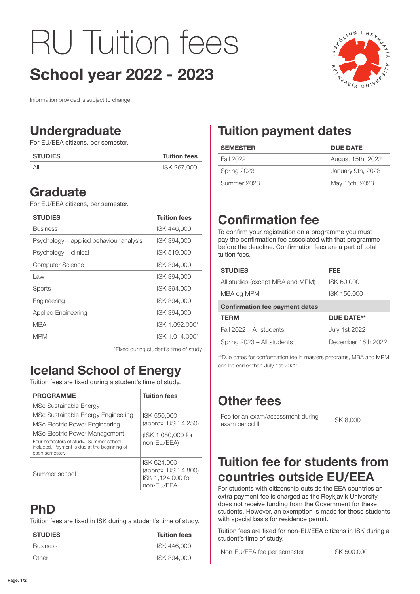# RU Tuition fees School year 2022 - 2023



Information provided is subject to change

### Undergraduate

For EU/EEA citizens, per semester.

| <b>STUDIES</b> | <b>Tuition fees</b> |
|----------------|---------------------|
| Αll            | ISK 267,000         |

#### **Graduate**

For EU/EEA citizens, per semester.

| <b>STUDIES</b>                          | <b>Tuition fees</b> |
|-----------------------------------------|---------------------|
| <b>Business</b>                         | ISK 446,000         |
| Psychology – applied behaviour analysis | ISK 394,000         |
| Psychology – clinical                   | ISK 519,000         |
| <b>Computer Science</b>                 | ISK 394,000         |
| Law                                     | ISK 394,000         |
| Sports                                  | ISK 394,000         |
| Engineering                             | ISK 394,000         |
| <b>Applied Engineering</b>              | ISK 394,000         |
| MBA                                     | ISK 1,092,000*      |
| MPM                                     | ISK 1.014.000*      |

\*Fixed during student's time of study

## Iceland School of Energy

Tuition fees are fixed during a student's time of study.

| <b>PROGRAMME</b>                                                                                         | <b>Tuition fees</b>                                                   |
|----------------------------------------------------------------------------------------------------------|-----------------------------------------------------------------------|
| MSc Sustainable Energy                                                                                   |                                                                       |
| MSc Sustainable Energy Engineering                                                                       | ISK 550,000                                                           |
| MSc Electric Power Engineering                                                                           | (approx. USD 4,250)                                                   |
| MSc Electric Power Management                                                                            | (ISK 1,050,000 for                                                    |
| Four semesters of study. Summer school<br>included. Payment is due at the beginning of<br>each semester. | non-EU/EEA)                                                           |
| Summer school                                                                                            | ISK 624,000<br>(approx. USD 4,800)<br>ISK 1,124,000 for<br>non-EU/EEA |

### PhD

Tuition fees are fixed in ISK during a student's time of study.

| <b>STUDIES</b>  | <b>Tuition fees</b> |
|-----------------|---------------------|
| <b>Business</b> | ISK 446,000         |
| Other           | ISK 394.000         |

## Tuition payment dates

| <b>SEMESTER</b> | <b>DUE DATE</b>   |
|-----------------|-------------------|
| Fall 2022       | August 15th, 2022 |
| Spring 2023     | January 9th, 2023 |
| Summer 2023     | May 15th, 2023    |

## Confirmation fee

To confirm your registration on a programme you must pay the confirmation fee associated with that programme before the deadline. Confirmation fees are a part of total tuition fees.

| <b>STUDIES</b>                        | FEE                  |
|---------------------------------------|----------------------|
| All studies (except MBA and MPM)      | ISK 60,000           |
| MBA og MPM                            | ISK 150,000          |
| <b>Confirmation fee payment dates</b> |                      |
| <b>TERM</b>                           | <b>DUE DATE**</b>    |
| Fall 2022 - All students              | <b>July 1st 2022</b> |
| Spring 2023 - All students            | December 16th 2022   |

\*\*Due dates for conformation fee in masters programs, MBA and MPM, can be earlier than July 1st 2022.

## Other fees

Fee for an exam/assessment during Fee for an exam/assessment during<br>exam period II

#### Tuition fee for students from countries outside EU/EEA

For students with citizenship outside the EEA countries an extra payment fee is charged as the Reykjavik University does not receive funding from the Government for these students. However, an exemption is made for those students with special basis for residence permit.

Tuition fees are fixed for non-EU/EEA citizens in ISK during a student's time of study.

Non-EU/EEA fee per semester | ISK 500,000